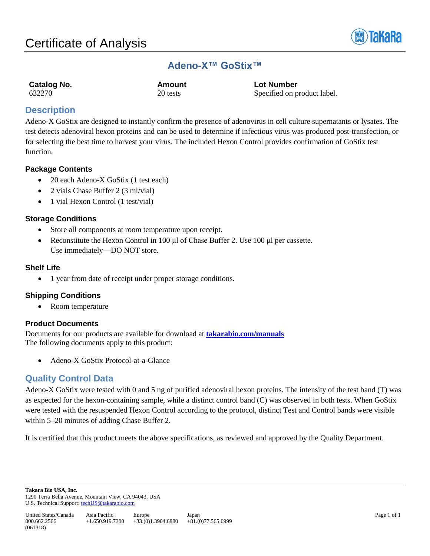

# **Adeno-X™ GoStix™**

| Catalog No. | Amount   | <b>Lot Number</b> |
|-------------|----------|-------------------|
| 632270      | 20 tests | Specified on p    |

ed on product label.

## **Description**

Adeno-X GoStix are designed to instantly confirm the presence of adenovirus in cell culture supernatants or lysates. The test detects adenoviral hexon proteins and can be used to determine if infectious virus was produced post-transfection, or for selecting the best time to harvest your virus. The included Hexon Control provides confirmation of GoStix test function.

## **Package Contents**

- 20 each Adeno-X GoStix (1 test each)
- 2 vials Chase Buffer 2 (3 ml/vial)
- 1 vial Hexon Control (1 test/vial)

## **Storage Conditions**

- Store all components at room temperature upon receipt.
- Reconstitute the Hexon Control in 100 μl of Chase Buffer 2. Use 100 μl per cassette. Use immediately—DO NOT store.

## **Shelf Life**

• 1 year from date of receipt under proper storage conditions.

## **Shipping Conditions**

• Room temperature

## **Product Documents**

Documents for our products are available for download at **[takarabio.com/manuals](http://www.takarabio.com/manuals)** The following documents apply to this product:

• Adeno-X GoStix Protocol-at-a-Glance

## **Quality Control Data**

Adeno-X GoStix were tested with 0 and 5 ng of purified adenoviral hexon proteins. The intensity of the test band (T) was as expected for the hexon-containing sample, while a distinct control band (C) was observed in both tests. When GoStix were tested with the resuspended Hexon Control according to the protocol, distinct Test and Control bands were visible within 5–20 minutes of adding Chase Buffer 2.

It is certified that this product meets the above specifications, as reviewed and approved by the Quality Department.